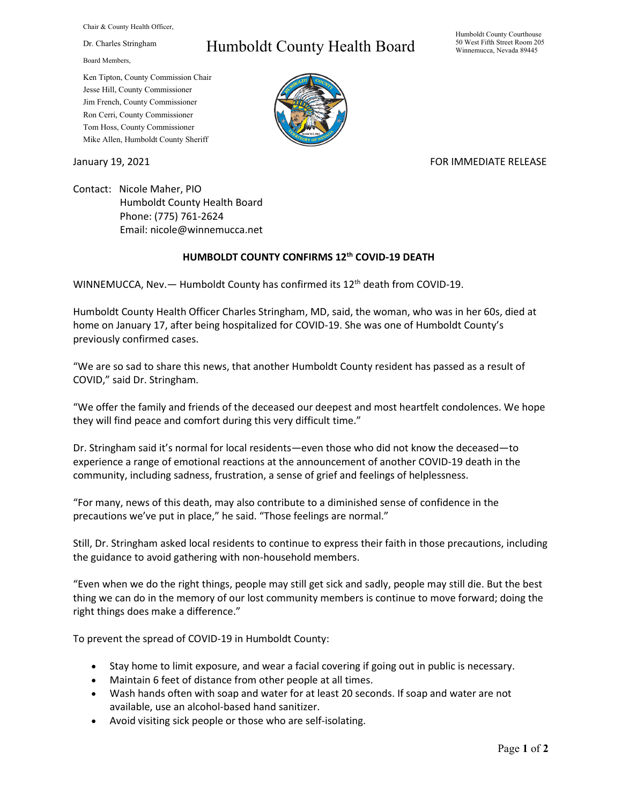Chair & County Health Officer,

Dr. Charles Stringham

Board Members,

Ken Tipton, County Commission Chair Jesse Hill, County Commissioner Jim French, County Commissioner Ron Cerri, County Commissioner Tom Hoss, County Commissioner Mike Allen, Humboldt County Sheriff

## Humboldt County Health Board

Humboldt County Courthouse 50 West Fifth Street Room 205 Winnemucca, Nevada 89445



## January 19, 2021 **FOR IMMEDIATE RELEASE**

Contact: Nicole Maher, PIO Humboldt County Health Board Phone: (775) 761-2624 Email: nicole@winnemucca.net

## **HUMBOLDT COUNTY CONFIRMS 12th COVID-19 DEATH**

WINNEMUCCA, Nev. - Humboldt County has confirmed its 12<sup>th</sup> death from COVID-19.

Humboldt County Health Officer Charles Stringham, MD, said, the woman, who was in her 60s, died at home on January 17, after being hospitalized for COVID-19. She was one of Humboldt County's previously confirmed cases.

"We are so sad to share this news, that another Humboldt County resident has passed as a result of COVID," said Dr. Stringham.

"We offer the family and friends of the deceased our deepest and most heartfelt condolences. We hope they will find peace and comfort during this very difficult time."

Dr. Stringham said it's normal for local residents—even those who did not know the deceased—to experience a range of emotional reactions at the announcement of another COVID-19 death in the community, including sadness, frustration, a sense of grief and feelings of helplessness.

"For many, news of this death, may also contribute to a diminished sense of confidence in the precautions we've put in place," he said. "Those feelings are normal."

Still, Dr. Stringham asked local residents to continue to express their faith in those precautions, including the guidance to avoid gathering with non-household members.

"Even when we do the right things, people may still get sick and sadly, people may still die. But the best thing we can do in the memory of our lost community members is continue to move forward; doing the right things does make a difference."

To prevent the spread of COVID-19 in Humboldt County:

- Stay home to limit exposure, and wear a facial covering if going out in public is necessary.
- Maintain 6 feet of distance from other people at all times.
- Wash hands often with soap and water for at least 20 seconds. If soap and water are not available, use an alcohol-based hand sanitizer.
- Avoid visiting sick people or those who are self-isolating.